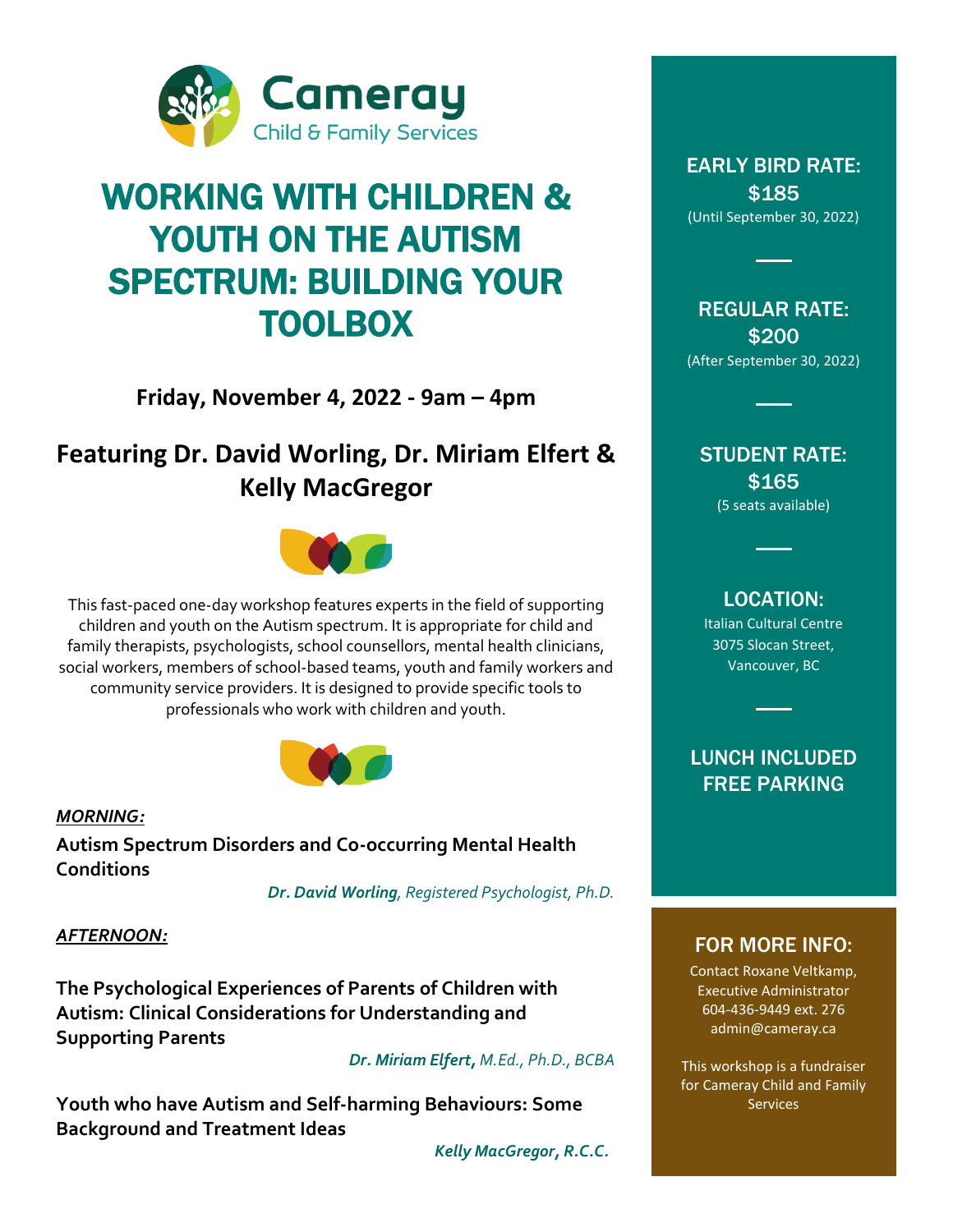

## WORKING WITH CHILDREN & YOUTH ON THE AUTISM SPECTRUM: BUILDING YOUR TOOLBOX

**Friday, November 4, 2022 - 9am – 4pm**

## **Featuring Dr. David Worling, Dr. Miriam Elfert & Kelly MacGregor**



This fast-paced one-day workshop features experts in the field of supporting children and youth on the Autism spectrum. It is appropriate for child and family therapists, psychologists, school counsellors, mental health clinicians, social workers, members of school-based teams, youth and family workers and community service providers. It is designed to provide specific tools to professionals who work with children and youth.



*MORNING:*

**Autism Spectrum Disorders and Co-occurring Mental Health Conditions**

 *Dr. David Worling, Registered Psychologist, Ph.D.*

#### *AFTERNOON:*

**The Psychological Experiences of Parents of Children with Autism: Clinical Considerations for Understanding and Supporting Parents** 

 *Dr. Miriam Elfert, M.Ed., Ph.D., BCBA*

**Youth who have Autism and Self-harming Behaviours: Some Background and Treatment Ideas**

*Kelly MacGregor, R.C.C.*

#### EARLY BIRD RATE: \$185 (Until September 30, 2022)

REGULAR RATE: \$200 (After September 30, 2022)

#### STUDENT RATE: \$165 (5 seats available)

### LOCATION:

Italian Cultural Centre 3075 Slocan Street, Vancouver, BC

LUNCH INCLUDED FREE PARKING

### FOR MORE INFO:

Contact Roxane Veltkamp, Executive Administrator 604-436-9449 ext. 276 admin@cameray.ca

This workshop is a fundraiser for Cameray Child and Family Services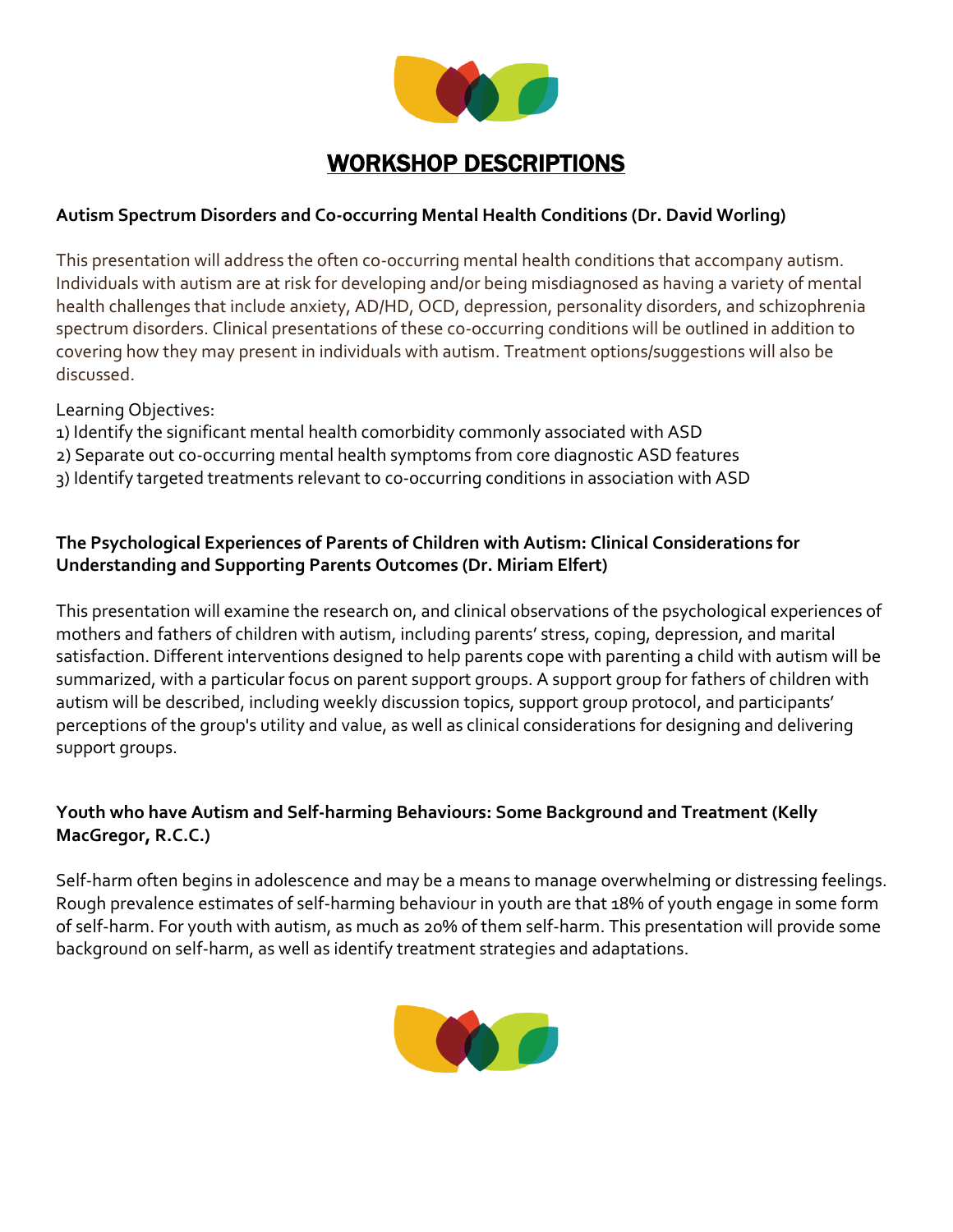

## WORKSHOP DESCRIPTIONS

#### **Autism Spectrum Disorders and Co-occurring Mental Health Conditions (Dr. David Worling)**

This presentation will address the often co-occurring mental health conditions that accompany autism. Individuals with autism are at risk for developing and/or being misdiagnosed as having a variety of mental health challenges that include anxiety, AD/HD, OCD, depression, personality disorders, and schizophrenia spectrum disorders. Clinical presentations of these co-occurring conditions will be outlined in addition to covering how they may present in individuals with autism. Treatment options/suggestions will also be discussed.

Learning Objectives:

- 1) Identify the significant mental health comorbidity commonly associated with ASD
- 2) Separate out co-occurring mental health symptoms from core diagnostic ASD features
- 3) Identify targeted treatments relevant to co-occurring conditions in association with ASD

#### **The Psychological Experiences of Parents of Children with Autism: Clinical Considerations for Understanding and Supporting Parents Outcomes (Dr. Miriam Elfert)**

This presentation will examine the research on, and clinical observations of the psychological experiences of mothers and fathers of children with autism, including parents' stress, coping, depression, and marital satisfaction. Different interventions designed to help parents cope with parenting a child with autism will be summarized, with a particular focus on parent support groups. A support group for fathers of children with autism will be described, including weekly discussion topics, support group protocol, and participants' perceptions of the group's utility and value, as well as clinical considerations for designing and delivering support groups.

#### **Youth who have Autism and Self-harming Behaviours: Some Background and Treatment (Kelly MacGregor, R.C.C.)**

Self-harm often begins in adolescence and may be a means to manage overwhelming or distressing feelings. Rough prevalence estimates of self-harming behaviour in youth are that 18% of youth engage in some form of self-harm. For youth with autism, as much as 20% of them self-harm. This presentation will provide some background on self-harm, as well as identify treatment strategies and adaptations.

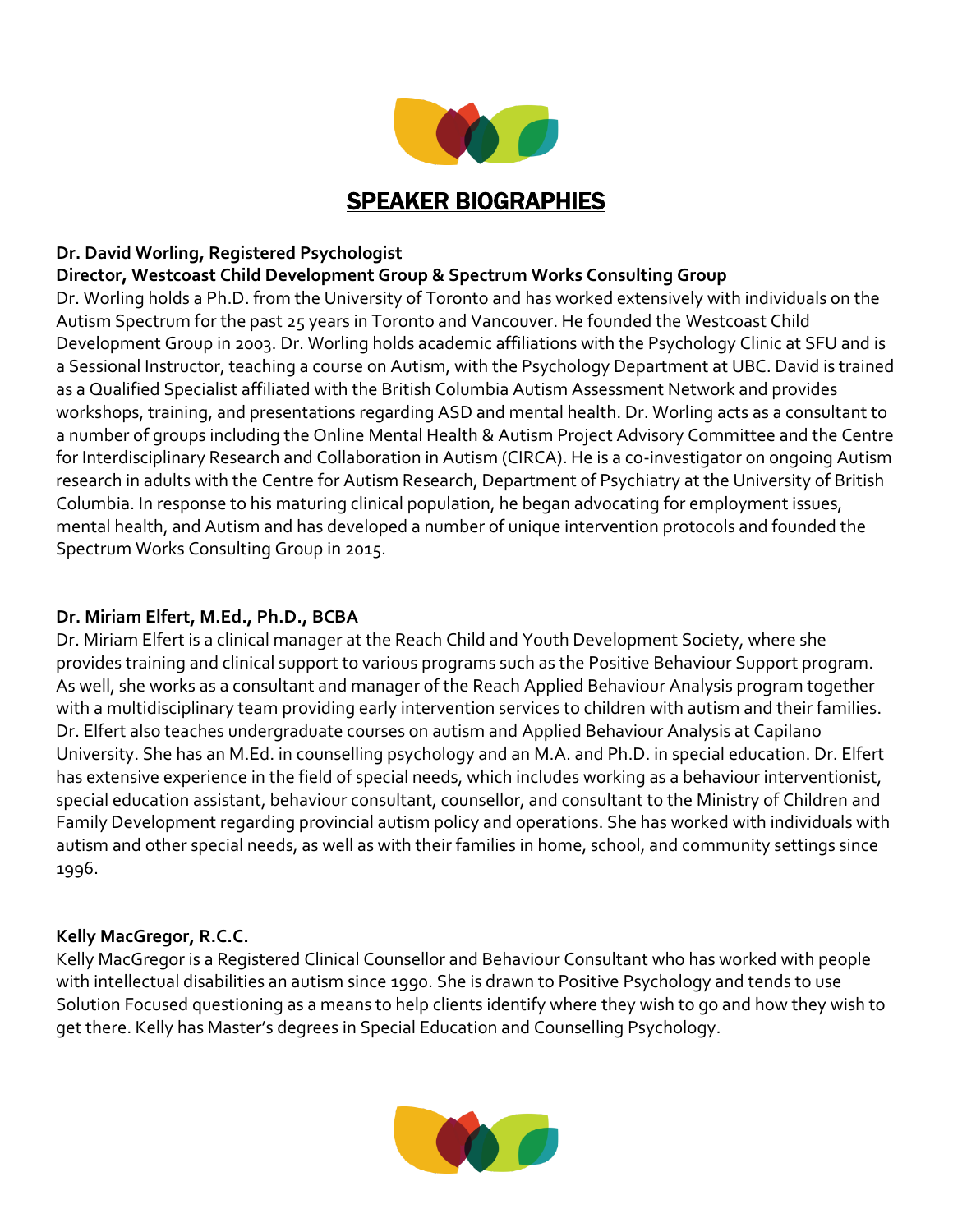

#### **Dr. David Worling, Registered Psychologist**

#### **Director, Westcoast Child Development Group & Spectrum Works Consulting Group**

Dr. Worling holds a Ph.D. from the University of Toronto and has worked extensively with individuals on the Autism Spectrum for the past 25 years in Toronto and Vancouver. He founded the Westcoast Child Development Group in 2003. Dr. Worling holds academic affiliations with the Psychology Clinic at SFU and is a Sessional Instructor, teaching a course on Autism, with the Psychology Department at UBC. David is trained as a Qualified Specialist affiliated with the British Columbia Autism Assessment Network and provides workshops, training, and presentations regarding ASD and mental health. Dr. Worling acts as a consultant to a number of groups including the Online Mental Health & Autism Project Advisory Committee and the Centre for Interdisciplinary Research and Collaboration in Autism (CIRCA). He is a co-investigator on ongoing Autism research in adults with the Centre for Autism Research, Department of Psychiatry at the University of British Columbia. In response to his maturing clinical population, he began advocating for employment issues, mental health, and Autism and has developed a number of unique intervention protocols and founded the Spectrum Works Consulting Group in 2015.

#### **Dr. Miriam Elfert, M.Ed., Ph.D., BCBA**

Dr. Miriam Elfert is a clinical manager at the Reach Child and Youth Development Society, where she provides training and clinical support to various programs such as the Positive Behaviour Support program. As well, she works as a consultant and manager of the Reach Applied Behaviour Analysis program together with a multidisciplinary team providing early intervention services to children with autism and their families. Dr. Elfert also teaches undergraduate courses on autism and Applied Behaviour Analysis at Capilano University. She has an M.Ed. in counselling psychology and an M.A. and Ph.D. in special education. Dr. Elfert has extensive experience in the field of special needs, which includes working as a behaviour interventionist, special education assistant, behaviour consultant, counsellor, and consultant to the Ministry of Children and Family Development regarding provincial autism policy and operations. She has worked with individuals with autism and other special needs, as well as with their families in home, school, and community settings since 1996.

#### **Kelly MacGregor, R.C.C.**

Kelly MacGregor is a Registered Clinical Counsellor and Behaviour Consultant who has worked with people with intellectual disabilities an autism since 1990. She is drawn to Positive Psychology and tends to use Solution Focused questioning as a means to help clients identify where they wish to go and how they wish to get there. Kelly has Master's degrees in Special Education and Counselling Psychology.